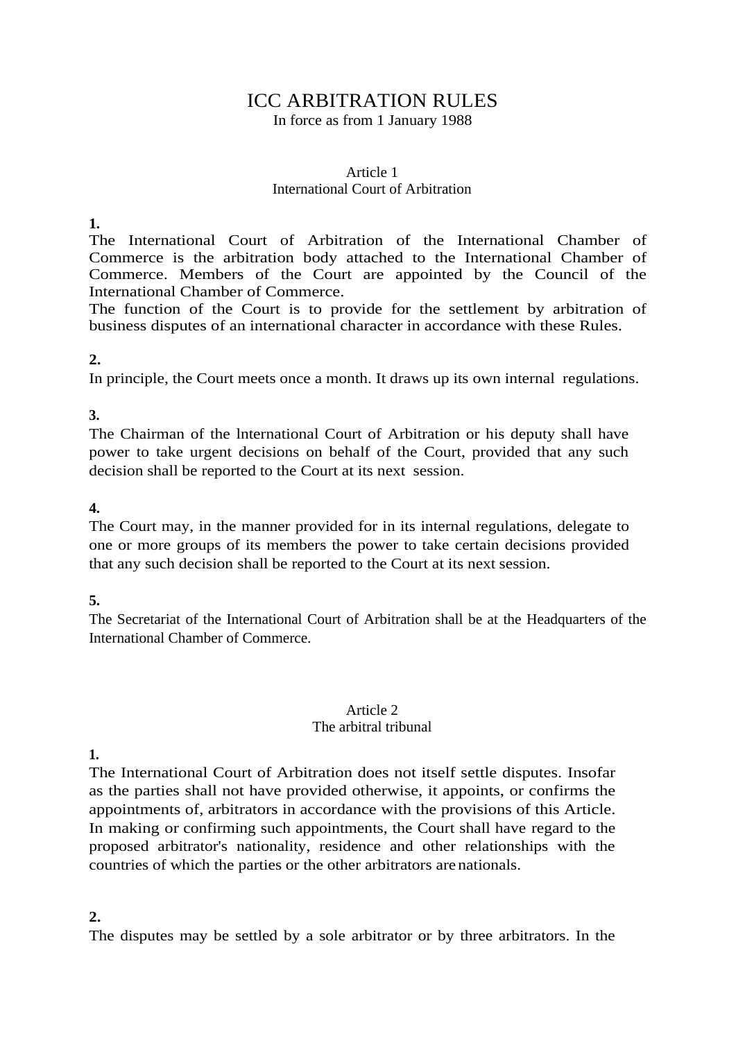# ICC ARBITRATION RULES

In force as from 1 January 1988

#### Article 1

#### International Court of Arbitration

**1.**

The International Court of Arbitration of the International Chamber of Commerce is the arbitration body attached to the International Chamber of Commerce. Members of the Court are appointed by the Council of the International Chamber of Commerce.

The function of the Court is to provide for the settlement by arbitration of business disputes of an international character in accordance with these Rules.

## **2.**

In principle, the Court meets once a month. It draws up its own internal regulations.

## **3.**

The Chairman of the lnternational Court of Arbitration or his deputy shall have power to take urgent decisions on behalf of the Court, provided that any such decision shall be reported to the Court at its next session.

# **4.**

The Court may, in the manner provided for in its internal regulations, delegate to one or more groups of its members the power to take certain decisions provided that any such decision shall be reported to the Court at its next session.

# **5.**

The Secretariat of the International Court of Arbitration shall be at the Headquarters of the International Chamber of Commerce.

#### Article 2 The arbitral tribunal

# **1.**

The International Court of Arbitration does not itself settle disputes. Insofar as the parties shall not have provided otherwise, it appoints, or confirms the appointments of, arbitrators in accordance with the provisions of this Article. In making or confirming such appointments, the Court shall have regard to the proposed arbitrator's nationality, residence and other relationships with the countries of which the parties or the other arbitrators are nationals.

# **2.**

The disputes may be settled by a sole arbitrator or by three arbitrators. In the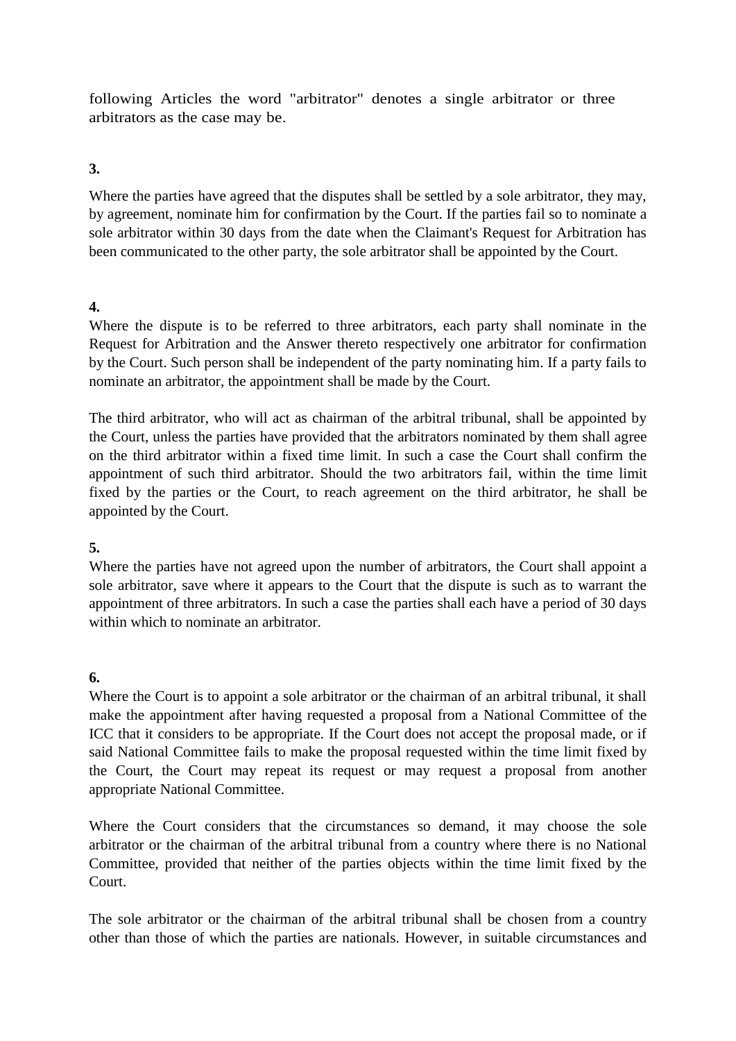following Articles the word "arbitrator" denotes a single arbitrator or three arbitrators as the case may be.

## **3.**

Where the parties have agreed that the disputes shall be settled by a sole arbitrator, they may, by agreement, nominate him for confirmation by the Court. If the parties fail so to nominate a sole arbitrator within 30 days from the date when the Claimant's Request for Arbitration has been communicated to the other party, the sole arbitrator shall be appointed by the Court.

# **4.**

Where the dispute is to be referred to three arbitrators, each party shall nominate in the Request for Arbitration and the Answer thereto respectively one arbitrator for confirmation by the Court. Such person shall be independent of the party nominating him. If a party fails to nominate an arbitrator, the appointment shall be made by the Court.

The third arbitrator, who will act as chairman of the arbitral tribunal, shall be appointed by the Court, unless the parties have provided that the arbitrators nominated by them shall agree on the third arbitrator within a fixed time limit. In such a case the Court shall confirm the appointment of such third arbitrator. Should the two arbitrators fail, within the time limit fixed by the parties or the Court, to reach agreement on the third arbitrator, he shall be appointed by the Court.

# **5.**

Where the parties have not agreed upon the number of arbitrators, the Court shall appoint a sole arbitrator, save where it appears to the Court that the dispute is such as to warrant the appointment of three arbitrators. In such a case the parties shall each have a period of 30 days within which to nominate an arbitrator.

# **6.**

Where the Court is to appoint a sole arbitrator or the chairman of an arbitral tribunal, it shall make the appointment after having requested a proposal from a National Committee of the ICC that it considers to be appropriate. If the Court does not accept the proposal made, or if said National Committee fails to make the proposal requested within the time limit fixed by the Court, the Court may repeat its request or may request a proposal from another appropriate National Committee.

Where the Court considers that the circumstances so demand, it may choose the sole arbitrator or the chairman of the arbitral tribunal from a country where there is no National Committee, provided that neither of the parties objects within the time limit fixed by the Court.

The sole arbitrator or the chairman of the arbitral tribunal shall be chosen from a country other than those of which the parties are nationals. However, in suitable circumstances and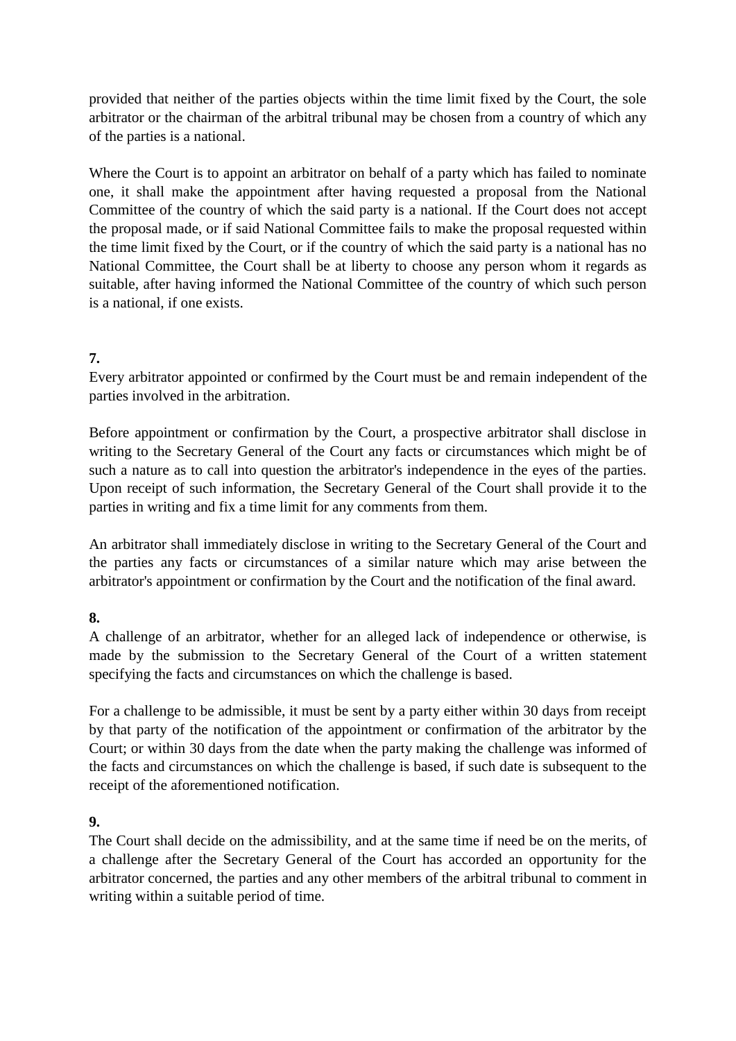provided that neither of the parties objects within the time limit fixed by the Court, the sole arbitrator or the chairman of the arbitral tribunal may be chosen from a country of which any of the parties is a national.

Where the Court is to appoint an arbitrator on behalf of a party which has failed to nominate one, it shall make the appointment after having requested a proposal from the National Committee of the country of which the said party is a national. If the Court does not accept the proposal made, or if said National Committee fails to make the proposal requested within the time limit fixed by the Court, or if the country of which the said party is a national has no National Committee, the Court shall be at liberty to choose any person whom it regards as suitable, after having informed the National Committee of the country of which such person is a national, if one exists.

# **7.**

Every arbitrator appointed or confirmed by the Court must be and remain independent of the parties involved in the arbitration.

Before appointment or confirmation by the Court, a prospective arbitrator shall disclose in writing to the Secretary General of the Court any facts or circumstances which might be of such a nature as to call into question the arbitrator's independence in the eyes of the parties. Upon receipt of such information, the Secretary General of the Court shall provide it to the parties in writing and fix a time limit for any comments from them.

An arbitrator shall immediately disclose in writing to the Secretary General of the Court and the parties any facts or circumstances of a similar nature which may arise between the arbitrator's appointment or confirmation by the Court and the notification of the final award.

# **8.**

A challenge of an arbitrator, whether for an alleged lack of independence or otherwise, is made by the submission to the Secretary General of the Court of a written statement specifying the facts and circumstances on which the challenge is based.

For a challenge to be admissible, it must be sent by a party either within 30 days from receipt by that party of the notification of the appointment or confirmation of the arbitrator by the Court; or within 30 days from the date when the party making the challenge was informed of the facts and circumstances on which the challenge is based, if such date is subsequent to the receipt of the aforementioned notification.

# **9.**

The Court shall decide on the admissibility, and at the same time if need be on the merits, of a challenge after the Secretary General of the Court has accorded an opportunity for the arbitrator concerned, the parties and any other members of the arbitral tribunal to comment in writing within a suitable period of time.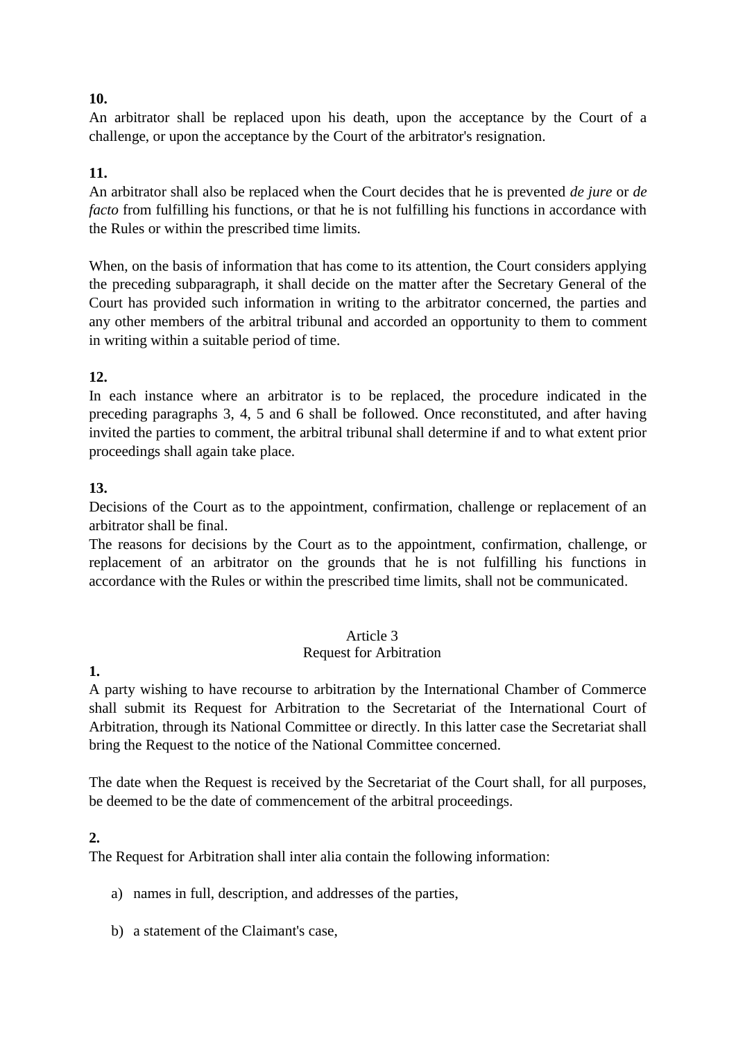# **10.**

An arbitrator shall be replaced upon his death, upon the acceptance by the Court of a challenge, or upon the acceptance by the Court of the arbitrator's resignation.

# **11.**

An arbitrator shall also be replaced when the Court decides that he is prevented *de jure* or *de facto* from fulfilling his functions, or that he is not fulfilling his functions in accordance with the Rules or within the prescribed time limits.

When, on the basis of information that has come to its attention, the Court considers applying the preceding subparagraph, it shall decide on the matter after the Secretary General of the Court has provided such information in writing to the arbitrator concerned, the parties and any other members of the arbitral tribunal and accorded an opportunity to them to comment in writing within a suitable period of time.

# **12.**

In each instance where an arbitrator is to be replaced, the procedure indicated in the preceding paragraphs 3, 4, 5 and 6 shall be followed. Once reconstituted, and after having invited the parties to comment, the arbitral tribunal shall determine if and to what extent prior proceedings shall again take place.

# **13.**

Decisions of the Court as to the appointment, confirmation, challenge or replacement of an arbitrator shall be final.

The reasons for decisions by the Court as to the appointment, confirmation, challenge, or replacement of an arbitrator on the grounds that he is not fulfilling his functions in accordance with the Rules or within the prescribed time limits, shall not be communicated.

# Article 3

#### Request for Arbitration

**1.**

A party wishing to have recourse to arbitration by the International Chamber of Commerce shall submit its Request for Arbitration to the Secretariat of the International Court of Arbitration, through its National Committee or directly. In this latter case the Secretariat shall bring the Request to the notice of the National Committee concerned.

The date when the Request is received by the Secretariat of the Court shall, for all purposes, be deemed to be the date of commencement of the arbitral proceedings.

# **2.**

The Request for Arbitration shall inter alia contain the following information:

- a) names in full, description, and addresses of the parties,
- b) a statement of the Claimant's case,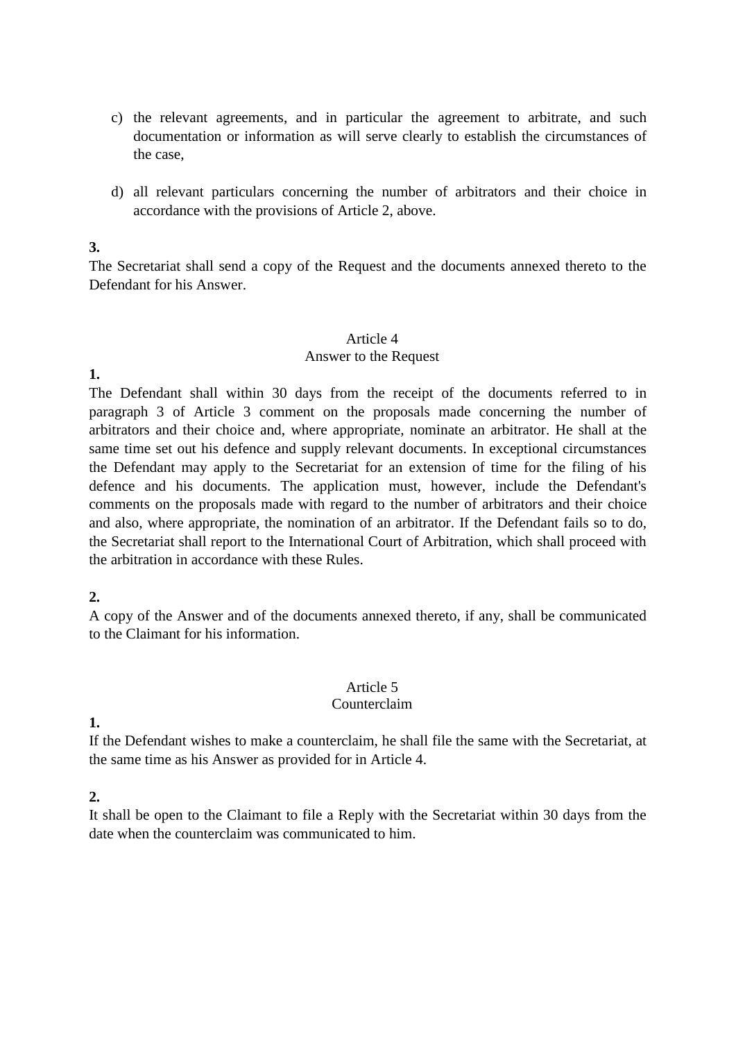- c) the relevant agreements, and in particular the agreement to arbitrate, and such documentation or information as will serve clearly to establish the circumstances of the case,
- d) all relevant particulars concerning the number of arbitrators and their choice in accordance with the provisions of Article 2, above.

## **3.**

The Secretariat shall send a copy of the Request and the documents annexed thereto to the Defendant for his Answer.

# Article 4

# Answer to the Request

**1.**

The Defendant shall within 30 days from the receipt of the documents referred to in paragraph 3 of Article 3 comment on the proposals made concerning the number of arbitrators and their choice and, where appropriate, nominate an arbitrator. He shall at the same time set out his defence and supply relevant documents. In exceptional circumstances the Defendant may apply to the Secretariat for an extension of time for the filing of his defence and his documents. The application must, however, include the Defendant's comments on the proposals made with regard to the number of arbitrators and their choice and also, where appropriate, the nomination of an arbitrator. If the Defendant fails so to do, the Secretariat shall report to the International Court of Arbitration, which shall proceed with the arbitration in accordance with these Rules.

# **2.**

A copy of the Answer and of the documents annexed thereto, if any, shall be communicated to the Claimant for his information.

#### Article 5 Counterclaim

#### **1.**

If the Defendant wishes to make a counterclaim, he shall file the same with the Secretariat, at the same time as his Answer as provided for in Article 4.

# **2.**

It shall be open to the Claimant to file a Reply with the Secretariat within 30 days from the date when the counterclaim was communicated to him.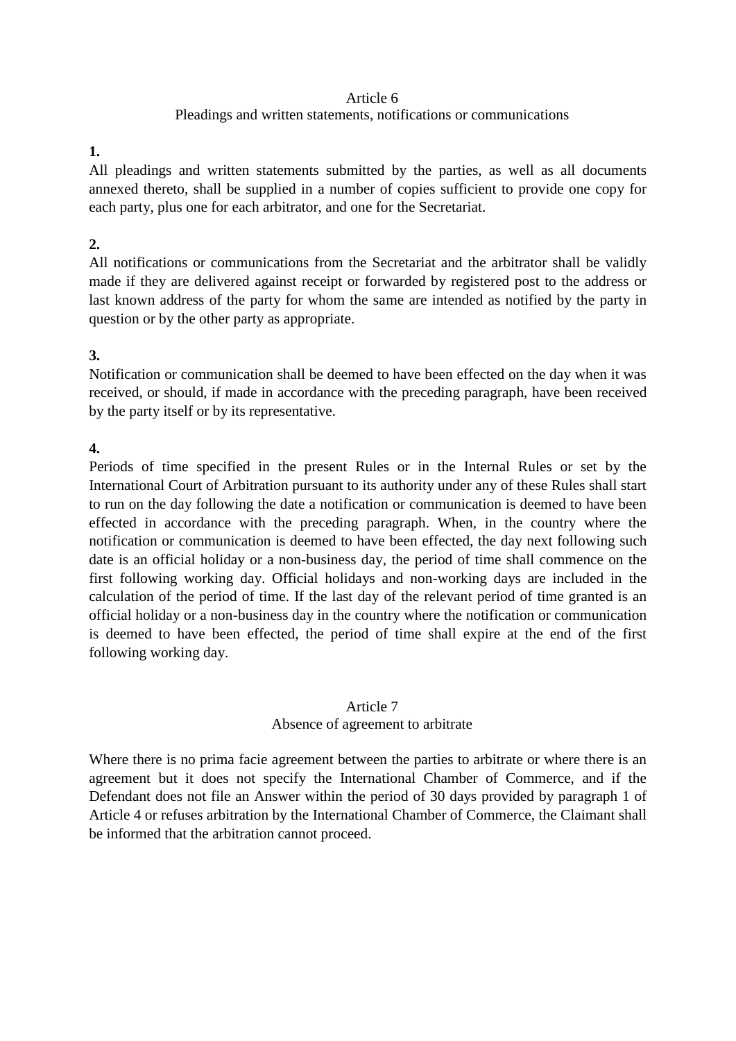#### Article 6

# Pleadings and written statements, notifications or communications

# **1.**

All pleadings and written statements submitted by the parties, as well as all documents annexed thereto, shall be supplied in a number of copies sufficient to provide one copy for each party, plus one for each arbitrator, and one for the Secretariat.

# **2.**

All notifications or communications from the Secretariat and the arbitrator shall be validly made if they are delivered against receipt or forwarded by registered post to the address or last known address of the party for whom the same are intended as notified by the party in question or by the other party as appropriate.

# **3.**

Notification or communication shall be deemed to have been effected on the day when it was received, or should, if made in accordance with the preceding paragraph, have been received by the party itself or by its representative.

# **4.**

Periods of time specified in the present Rules or in the Internal Rules or set by the International Court of Arbitration pursuant to its authority under any of these Rules shall start to run on the day following the date a notification or communication is deemed to have been effected in accordance with the preceding paragraph. When, in the country where the notification or communication is deemed to have been effected, the day next following such date is an official holiday or a non-business day, the period of time shall commence on the first following working day. Official holidays and non-working days are included in the calculation of the period of time. If the last day of the relevant period of time granted is an official holiday or a non-business day in the country where the notification or communication is deemed to have been effected, the period of time shall expire at the end of the first following working day.

# Article 7

# Absence of agreement to arbitrate

Where there is no prima facie agreement between the parties to arbitrate or where there is an agreement but it does not specify the International Chamber of Commerce, and if the Defendant does not file an Answer within the period of 30 days provided by paragraph 1 of Article 4 or refuses arbitration by the International Chamber of Commerce, the Claimant shall be informed that the arbitration cannot proceed.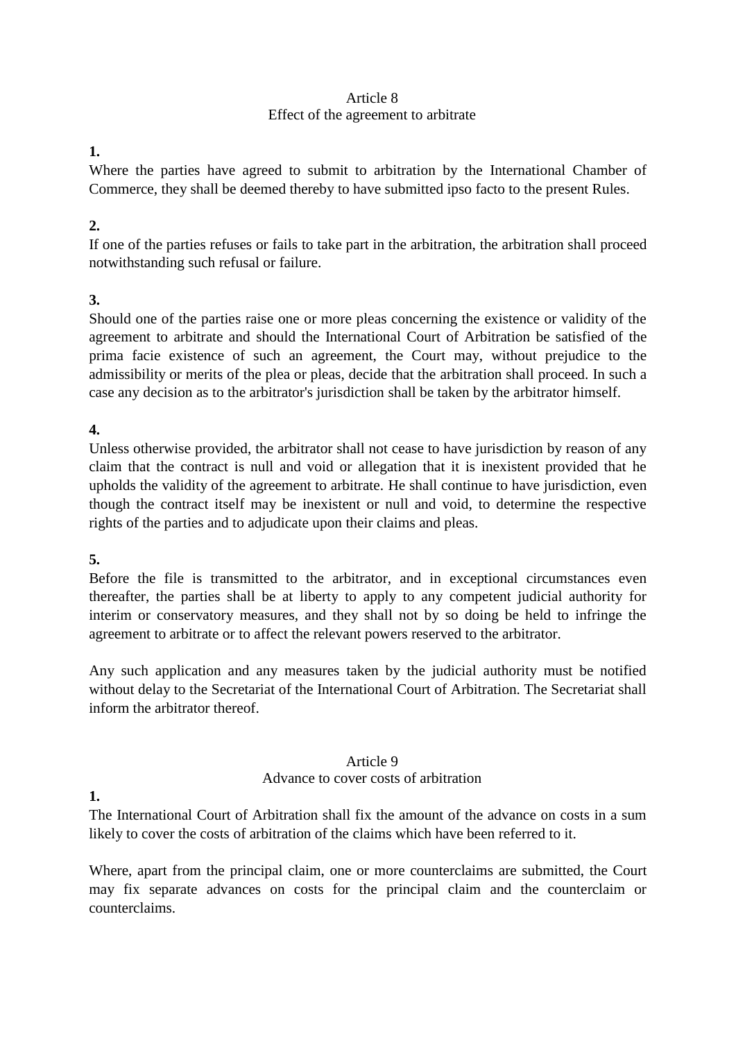#### Article 8 Effect of the agreement to arbitrate

# **1.**

Where the parties have agreed to submit to arbitration by the International Chamber of Commerce, they shall be deemed thereby to have submitted ipso facto to the present Rules.

# **2.**

If one of the parties refuses or fails to take part in the arbitration, the arbitration shall proceed notwithstanding such refusal or failure.

# **3.**

Should one of the parties raise one or more pleas concerning the existence or validity of the agreement to arbitrate and should the International Court of Arbitration be satisfied of the prima facie existence of such an agreement, the Court may, without prejudice to the admissibility or merits of the plea or pleas, decide that the arbitration shall proceed. In such a case any decision as to the arbitrator's jurisdiction shall be taken by the arbitrator himself.

# **4.**

Unless otherwise provided, the arbitrator shall not cease to have jurisdiction by reason of any claim that the contract is null and void or allegation that it is inexistent provided that he upholds the validity of the agreement to arbitrate. He shall continue to have jurisdiction, even though the contract itself may be inexistent or null and void, to determine the respective rights of the parties and to adjudicate upon their claims and pleas.

# **5.**

Before the file is transmitted to the arbitrator, and in exceptional circumstances even thereafter, the parties shall be at liberty to apply to any competent judicial authority for interim or conservatory measures, and they shall not by so doing be held to infringe the agreement to arbitrate or to affect the relevant powers reserved to the arbitrator.

Any such application and any measures taken by the judicial authority must be notified without delay to the Secretariat of the International Court of Arbitration. The Secretariat shall inform the arbitrator thereof.

#### Article 9 Advance to cover costs of arbitration

# **1.**

The International Court of Arbitration shall fix the amount of the advance on costs in a sum likely to cover the costs of arbitration of the claims which have been referred to it.

Where, apart from the principal claim, one or more counterclaims are submitted, the Court may fix separate advances on costs for the principal claim and the counterclaim or counterclaims.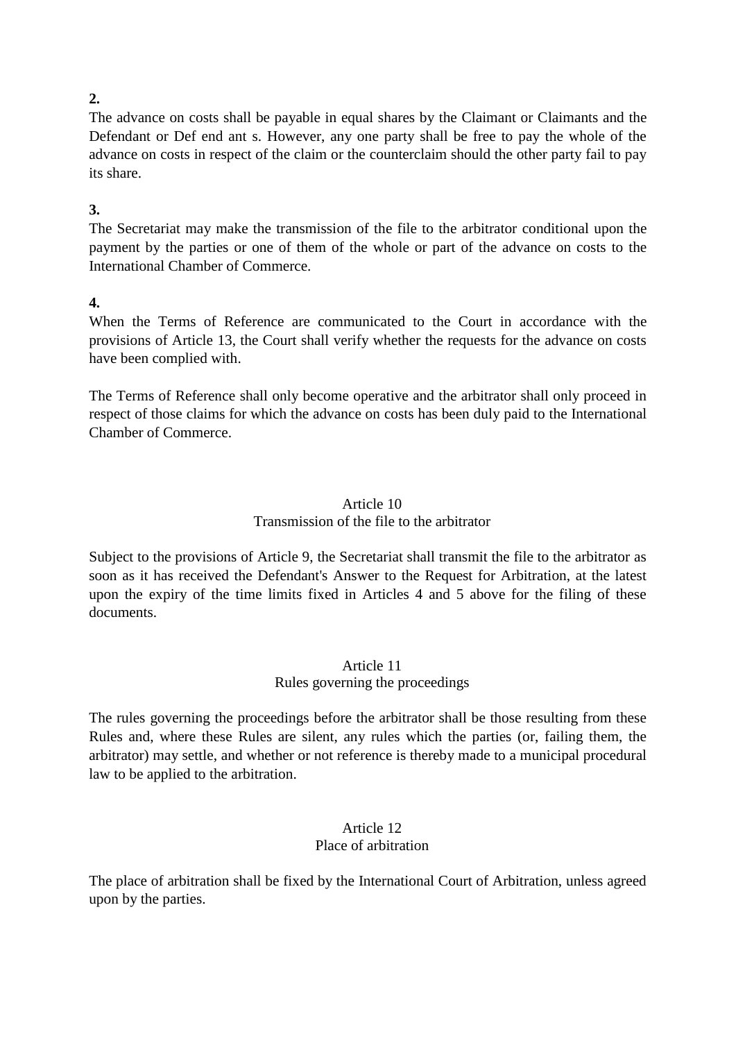# **2.**

The advance on costs shall be payable in equal shares by the Claimant or Claimants and the Defendant or Def end ant s. However, any one party shall be free to pay the whole of the advance on costs in respect of the claim or the counterclaim should the other party fail to pay its share.

# **3.**

The Secretariat may make the transmission of the file to the arbitrator conditional upon the payment by the parties or one of them of the whole or part of the advance on costs to the International Chamber of Commerce.

# **4.**

When the Terms of Reference are communicated to the Court in accordance with the provisions of Article 13, the Court shall verify whether the requests for the advance on costs have been complied with.

The Terms of Reference shall only become operative and the arbitrator shall only proceed in respect of those claims for which the advance on costs has been duly paid to the International Chamber of Commerce.

# Article 10

# Transmission of the file to the arbitrator

Subject to the provisions of Article 9, the Secretariat shall transmit the file to the arbitrator as soon as it has received the Defendant's Answer to the Request for Arbitration, at the latest upon the expiry of the time limits fixed in Articles 4 and 5 above for the filing of these documents.

#### Article 11 Rules governing the proceedings

The rules governing the proceedings before the arbitrator shall be those resulting from these Rules and, where these Rules are silent, any rules which the parties (or, failing them, the arbitrator) may settle, and whether or not reference is thereby made to a municipal procedural law to be applied to the arbitration.

# Article 12

# Place of arbitration

The place of arbitration shall be fixed by the International Court of Arbitration, unless agreed upon by the parties.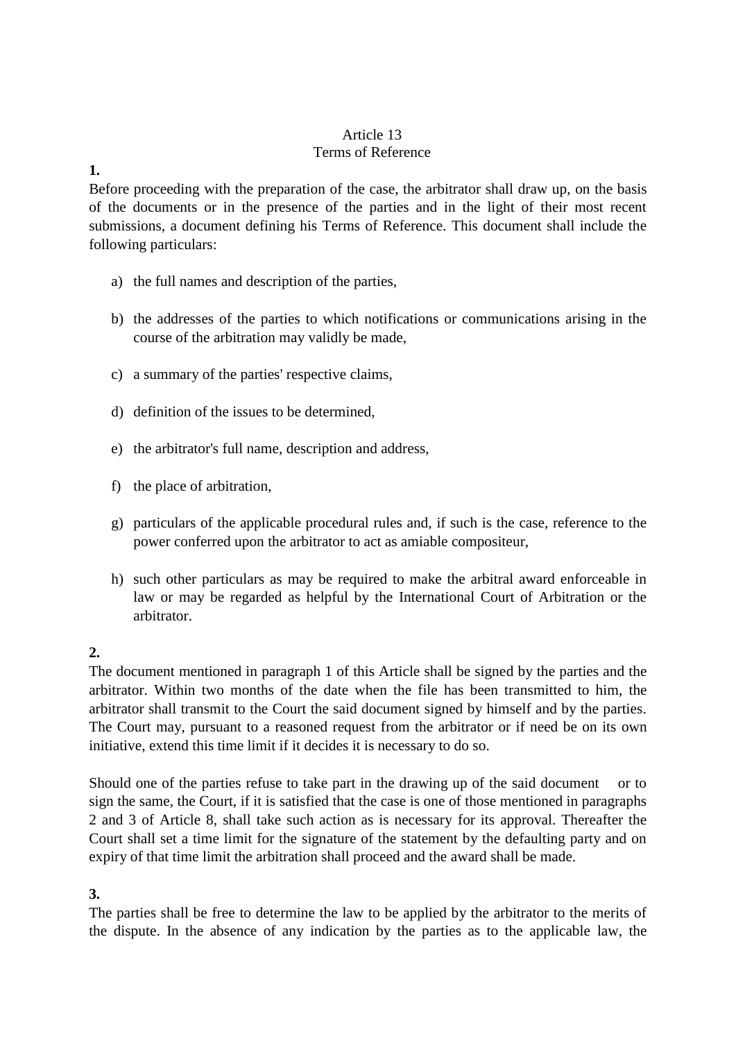# Article 13

# Terms of Reference

# **1.**

Before proceeding with the preparation of the case, the arbitrator shall draw up, on the basis of the documents or in the presence of the parties and in the light of their most recent submissions, a document defining his Terms of Reference. This document shall include the following particulars:

- a) the full names and description of the parties,
- b) the addresses of the parties to which notifications or communications arising in the course of the arbitration may validly be made,
- c) a summary of the parties' respective claims,
- d) definition of the issues to be determined,
- e) the arbitrator's full name, description and address,
- f) the place of arbitration,
- g) particulars of the applicable procedural rules and, if such is the case, reference to the power conferred upon the arbitrator to act as amiable compositeur,
- h) such other particulars as may be required to make the arbitral award enforceable in law or may be regarded as helpful by the International Court of Arbitration or the arbitrator.

# **2.**

The document mentioned in paragraph 1 of this Article shall be signed by the parties and the arbitrator. Within two months of the date when the file has been transmitted to him, the arbitrator shall transmit to the Court the said document signed by himself and by the parties. The Court may, pursuant to a reasoned request from the arbitrator or if need be on its own initiative, extend this time limit if it decides it is necessary to do so.

Should one of the parties refuse to take part in the drawing up of the said document or to sign the same, the Court, if it is satisfied that the case is one of those mentioned in paragraphs 2 and 3 of Article 8, shall take such action as is necessary for its approval. Thereafter the Court shall set a time limit for the signature of the statement by the defaulting party and on expiry of that time limit the arbitration shall proceed and the award shall be made.

# **3.**

The parties shall be free to determine the law to be applied by the arbitrator to the merits of the dispute. In the absence of any indication by the parties as to the applicable law, the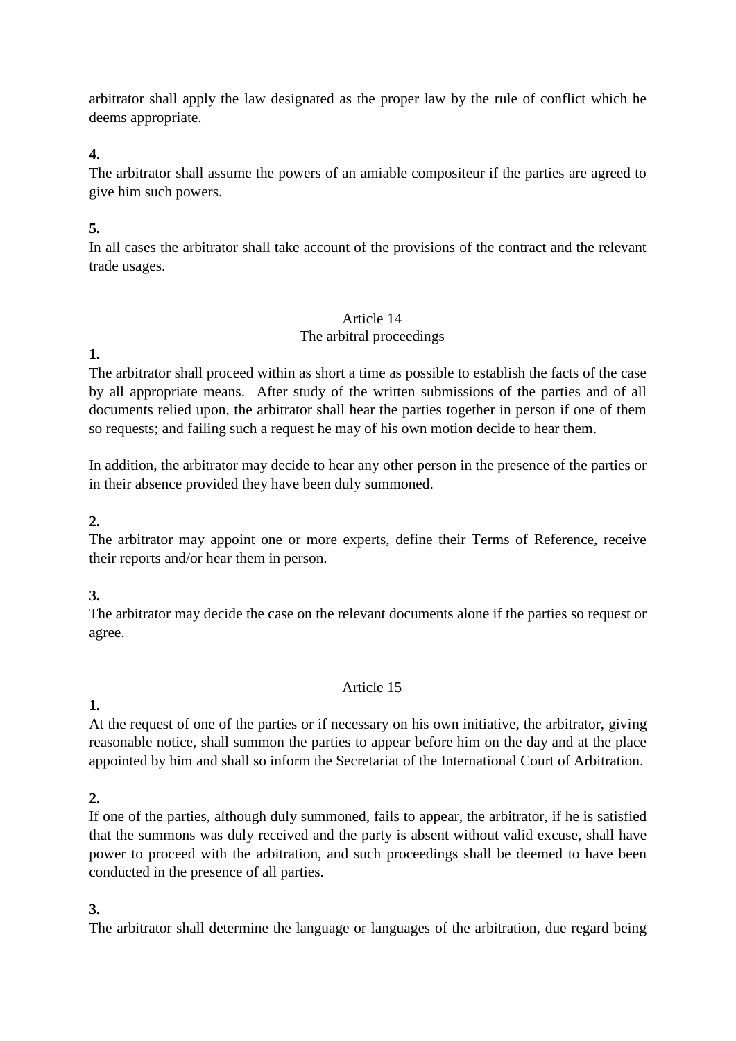arbitrator shall apply the law designated as the proper law by the rule of conflict which he deems appropriate.

## **4.**

The arbitrator shall assume the powers of an amiable compositeur if the parties are agreed to give him such powers.

# **5.**

In all cases the arbitrator shall take account of the provisions of the contract and the relevant trade usages.

# Article 14

# The arbitral proceedings

## **1.**

The arbitrator shall proceed within as short a time as possible to establish the facts of the case by all appropriate means. After study of the written submissions of the parties and of all documents relied upon, the arbitrator shall hear the parties together in person if one of them so requests; and failing such a request he may of his own motion decide to hear them.

In addition, the arbitrator may decide to hear any other person in the presence of the parties or in their absence provided they have been duly summoned.

# **2.**

The arbitrator may appoint one or more experts, define their Terms of Reference, receive their reports and/or hear them in person.

# **3.**

The arbitrator may decide the case on the relevant documents alone if the parties so request or agree.

# Article 15

# **1.**

At the request of one of the parties or if necessary on his own initiative, the arbitrator, giving reasonable notice, shall summon the parties to appear before him on the day and at the place appointed by him and shall so inform the Secretariat of the International Court of Arbitration.

# **2.**

If one of the parties, although duly summoned, fails to appear, the arbitrator, if he is satisfied that the summons was duly received and the party is absent without valid excuse, shall have power to proceed with the arbitration, and such proceedings shall be deemed to have been conducted in the presence of all parties.

# **3.**

The arbitrator shall determine the language or languages of the arbitration, due regard being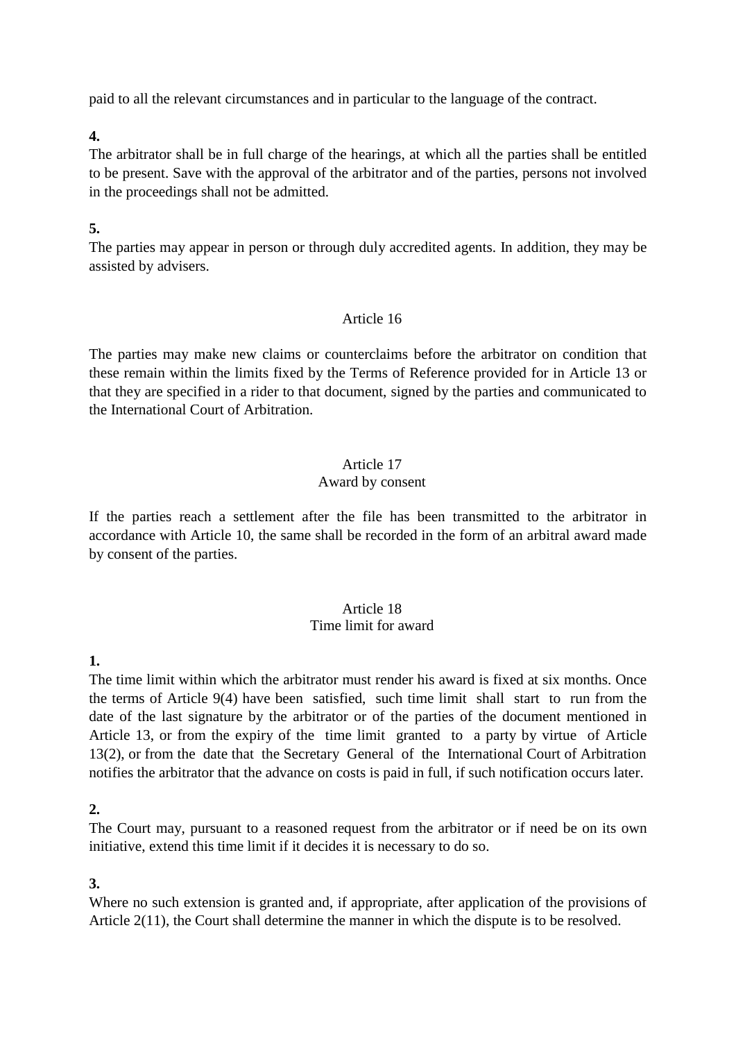paid to all the relevant circumstances and in particular to the language of the contract.

**4.**

The arbitrator shall be in full charge of the hearings, at which all the parties shall be entitled to be present. Save with the approval of the arbitrator and of the parties, persons not involved in the proceedings shall not be admitted.

**5.**

The parties may appear in person or through duly accredited agents. In addition, they may be assisted by advisers.

# Article 16

The parties may make new claims or counterclaims before the arbitrator on condition that these remain within the limits fixed by the Terms of Reference provided for in Article 13 or that they are specified in a rider to that document, signed by the parties and communicated to the International Court of Arbitration.

# Article 17

# Award by consent

If the parties reach a settlement after the file has been transmitted to the arbitrator in accordance with Article 10, the same shall be recorded in the form of an arbitral award made by consent of the parties.

# Article 18

# Time limit for award

# **1.**

The time limit within which the arbitrator must render his award is fixed at six months. Once the terms of Article 9(4) have been satisfied, such time limit shall start to run from the date of the last signature by the arbitrator or of the parties of the document mentioned in Article 13, or from the expiry of the time limit granted to a party by virtue of Article 13(2), or from the date that the Secretary General of the International Court of Arbitration notifies the arbitrator that the advance on costs is paid in full, if such notification occurs later.

# **2.**

The Court may, pursuant to a reasoned request from the arbitrator or if need be on its own initiative, extend this time limit if it decides it is necessary to do so.

**3.**

Where no such extension is granted and, if appropriate, after application of the provisions of Article 2(11), the Court shall determine the manner in which the dispute is to be resolved.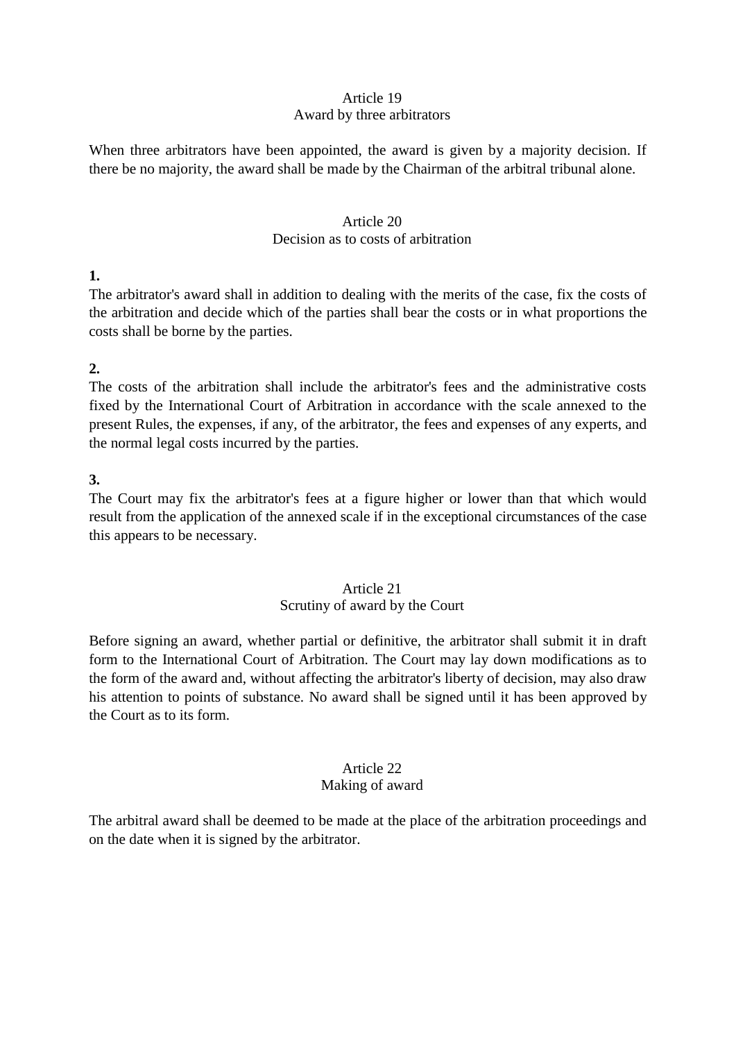#### Article 19 Award by three arbitrators

When three arbitrators have been appointed, the award is given by a majority decision. If there be no majority, the award shall be made by the Chairman of the arbitral tribunal alone.

## Article 20 Decision as to costs of arbitration

## **1.**

The arbitrator's award shall in addition to dealing with the merits of the case, fix the costs of the arbitration and decide which of the parties shall bear the costs or in what proportions the costs shall be borne by the parties.

# **2.**

The costs of the arbitration shall include the arbitrator's fees and the administrative costs fixed by the International Court of Arbitration in accordance with the scale annexed to the present Rules, the expenses, if any, of the arbitrator, the fees and expenses of any experts, and the normal legal costs incurred by the parties.

# **3.**

The Court may fix the arbitrator's fees at a figure higher or lower than that which would result from the application of the annexed scale if in the exceptional circumstances of the case this appears to be necessary.

# Article 21

# Scrutiny of award by the Court

Before signing an award, whether partial or definitive, the arbitrator shall submit it in draft form to the International Court of Arbitration. The Court may lay down modifications as to the form of the award and, without affecting the arbitrator's liberty of decision, may also draw his attention to points of substance. No award shall be signed until it has been approved by the Court as to its form.

# Article 22

# Making of award

The arbitral award shall be deemed to be made at the place of the arbitration proceedings and on the date when it is signed by the arbitrator.